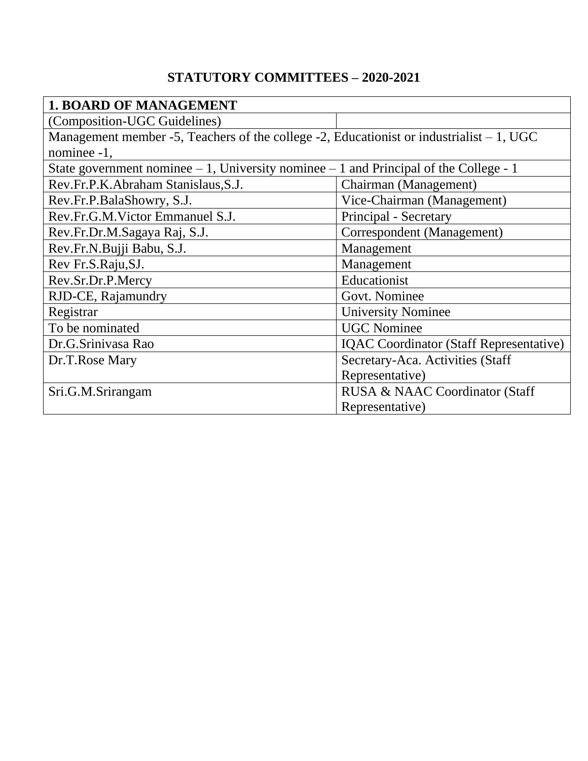## **STATUTORY COMMITTEES – 2020-2021**

| <b>1. BOARD OF MANAGEMENT</b>                                                              |                                                |  |
|--------------------------------------------------------------------------------------------|------------------------------------------------|--|
| (Composition-UGC Guidelines)                                                               |                                                |  |
| Management member -5, Teachers of the college -2, Educationist or industrialist $-1$ , UGC |                                                |  |
| nominee -1,                                                                                |                                                |  |
| State government nominee $-1$ , University nominee $-1$ and Principal of the College - 1   |                                                |  |
| Rev.Fr.P.K.Abraham Stanislaus, S.J.                                                        | Chairman (Management)                          |  |
| Rev.Fr.P.BalaShowry, S.J.                                                                  | Vice-Chairman (Management)                     |  |
| Rev.Fr.G.M.Victor Emmanuel S.J.                                                            | Principal - Secretary                          |  |
| Rev.Fr.Dr.M.Sagaya Raj, S.J.                                                               | Correspondent (Management)                     |  |
| Rev.Fr.N.Bujji Babu, S.J.                                                                  | Management                                     |  |
| Rev Fr.S.Raju, SJ.                                                                         | Management                                     |  |
| Rev.Sr.Dr.P.Mercy                                                                          | Educationist                                   |  |
| RJD-CE, Rajamundry                                                                         | Govt. Nominee                                  |  |
| Registrar                                                                                  | <b>University Nominee</b>                      |  |
| To be nominated                                                                            | <b>UGC Nominee</b>                             |  |
| Dr.G.Srinivasa Rao                                                                         | <b>IQAC</b> Coordinator (Staff Representative) |  |
| Dr.T.Rose Mary                                                                             | Secretary-Aca. Activities (Staff               |  |
|                                                                                            | Representative)                                |  |
| Sri.G.M.Srirangam                                                                          | RUSA & NAAC Coordinator (Staff                 |  |
|                                                                                            | Representative)                                |  |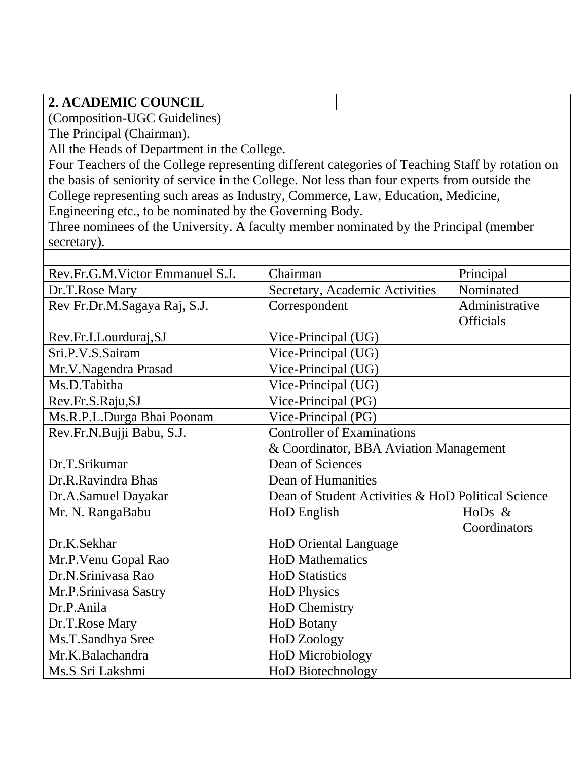## **2. ACADEMIC COUNCIL**

(Composition-UGC Guidelines)

The Principal (Chairman).

All the Heads of Department in the College.

Four Teachers of the College representing different categories of Teaching Staff by rotation on the basis of seniority of service in the College. Not less than four experts from outside the College representing such areas as Industry, Commerce, Law, Education, Medicine, Engineering etc., to be nominated by the Governing Body.

Three nominees of the University. A faculty member nominated by the Principal (member secretary).

| Rev.Fr.G.M.Victor Emmanuel S.J. | Chairman                                           | Principal        |
|---------------------------------|----------------------------------------------------|------------------|
| Dr.T.Rose Mary                  | Secretary, Academic Activities                     | Nominated        |
| Rev Fr.Dr.M.Sagaya Raj, S.J.    | Correspondent                                      | Administrative   |
|                                 |                                                    | <b>Officials</b> |
| Rev.Fr.I.Lourduraj,SJ           | Vice-Principal (UG)                                |                  |
| Sri.P.V.S.Sairam                | Vice-Principal (UG)                                |                  |
| Mr.V.Nagendra Prasad            | Vice-Principal (UG)                                |                  |
| Ms.D.Tabitha                    | Vice-Principal (UG)                                |                  |
| Rev.Fr.S.Raju,SJ                | Vice-Principal (PG)                                |                  |
| Ms.R.P.L.Durga Bhai Poonam      | Vice-Principal (PG)                                |                  |
| Rev.Fr.N.Bujji Babu, S.J.       | <b>Controller of Examinations</b>                  |                  |
|                                 | & Coordinator, BBA Aviation Management             |                  |
| Dr.T.Srikumar                   | Dean of Sciences                                   |                  |
| Dr.R.Ravindra Bhas              | Dean of Humanities                                 |                  |
| Dr.A.Samuel Dayakar             | Dean of Student Activities & HoD Political Science |                  |
| Mr. N. RangaBabu                | HoD English                                        | HoDs &           |
|                                 |                                                    | Coordinators     |
| Dr.K.Sekhar                     | <b>HoD Oriental Language</b>                       |                  |
| Mr.P. Venu Gopal Rao            | <b>HoD Mathematics</b>                             |                  |
| Dr.N.Srinivasa Rao              | <b>HoD Statistics</b>                              |                  |
| Mr.P.Srinivasa Sastry           | <b>HoD Physics</b>                                 |                  |
| Dr.P.Anila                      | <b>HoD Chemistry</b>                               |                  |
| Dr.T.Rose Mary                  | <b>HoD Botany</b>                                  |                  |
| Ms.T.Sandhya Sree               | <b>HoD Zoology</b>                                 |                  |
| Mr.K.Balachandra                | HoD Microbiology                                   |                  |
| Ms.S Sri Lakshmi                | HoD Biotechnology                                  |                  |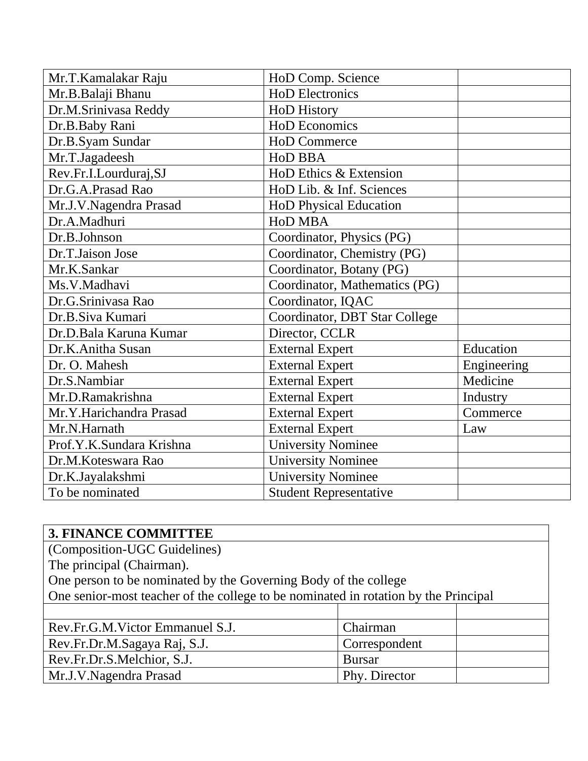| Mr.T.Kamalakar Raju      | HoD Comp. Science             |             |
|--------------------------|-------------------------------|-------------|
| Mr.B.Balaji Bhanu        | <b>HoD Electronics</b>        |             |
| Dr.M.Srinivasa Reddy     | <b>HoD</b> History            |             |
| Dr.B.Baby Rani           | <b>HoD</b> Economics          |             |
| Dr.B.Syam Sundar         | <b>HoD Commerce</b>           |             |
| Mr.T.Jagadeesh           | <b>HoD BBA</b>                |             |
| Rev.Fr.I.Lourduraj,SJ    | HoD Ethics & Extension        |             |
| Dr.G.A.Prasad Rao        | HoD Lib. & Inf. Sciences      |             |
| Mr.J.V.Nagendra Prasad   | <b>HoD Physical Education</b> |             |
| Dr.A.Madhuri             | <b>HoD MBA</b>                |             |
| Dr.B.Johnson             | Coordinator, Physics (PG)     |             |
| Dr.T.Jaison Jose         | Coordinator, Chemistry (PG)   |             |
| Mr.K.Sankar              | Coordinator, Botany (PG)      |             |
| Ms.V.Madhavi             | Coordinator, Mathematics (PG) |             |
| Dr.G.Srinivasa Rao       | Coordinator, IQAC             |             |
| Dr.B.Siva Kumari         | Coordinator, DBT Star College |             |
| Dr.D.Bala Karuna Kumar   | Director, CCLR                |             |
| Dr.K.Anitha Susan        | <b>External Expert</b>        | Education   |
| Dr. O. Mahesh            | <b>External Expert</b>        | Engineering |
| Dr.S.Nambiar             | <b>External Expert</b>        | Medicine    |
| Mr.D.Ramakrishna         | <b>External Expert</b>        | Industry    |
| Mr.Y.Harichandra Prasad  | <b>External Expert</b>        | Commerce    |
| Mr.N.Harnath             | <b>External Expert</b>        | Law         |
| Prof.Y.K.Sundara Krishna | <b>University Nominee</b>     |             |
| Dr.M.Koteswara Rao       | <b>University Nominee</b>     |             |
| Dr.K.Jayalakshmi         | <b>University Nominee</b>     |             |
| To be nominated          | <b>Student Representative</b> |             |

| <b>3. FINANCE COMMITTEE</b>                                                         |               |  |
|-------------------------------------------------------------------------------------|---------------|--|
| (Composition-UGC Guidelines)                                                        |               |  |
| The principal (Chairman).                                                           |               |  |
| One person to be nominated by the Governing Body of the college                     |               |  |
| One senior-most teacher of the college to be nominated in rotation by the Principal |               |  |
|                                                                                     |               |  |
| Rev.Fr.G.M.Victor Emmanuel S.J.                                                     | Chairman      |  |
| Rev.Fr.Dr.M.Sagaya Raj, S.J.                                                        | Correspondent |  |
| Rev.Fr.Dr.S.Melchior, S.J.                                                          | <b>Bursar</b> |  |
| Mr.J.V.Nagendra Prasad                                                              | Phy. Director |  |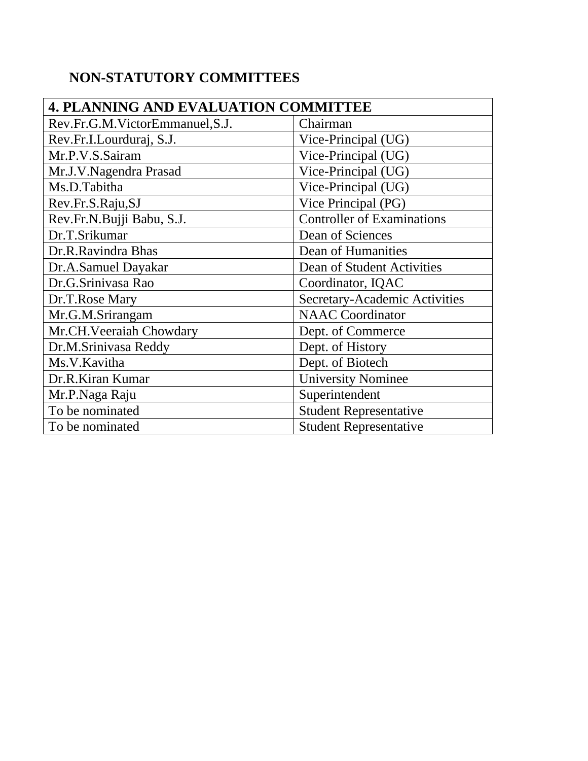## **NON-STATUTORY COMMITTEES**

| <b>4. PLANNING AND EVALUATION COMMITTEE</b> |                                   |  |
|---------------------------------------------|-----------------------------------|--|
| Rev.Fr.G.M.VictorEmmanuel, S.J.             | Chairman                          |  |
| Rev.Fr.I.Lourduraj, S.J.                    | Vice-Principal (UG)               |  |
| Mr.P.V.S.Sairam                             | Vice-Principal (UG)               |  |
| Mr.J.V.Nagendra Prasad                      | Vice-Principal (UG)               |  |
| Ms.D.Tabitha                                | Vice-Principal (UG)               |  |
| Rev.Fr.S.Raju,SJ                            | Vice Principal (PG)               |  |
| Rev.Fr.N.Bujji Babu, S.J.                   | <b>Controller of Examinations</b> |  |
| Dr.T.Srikumar                               | Dean of Sciences                  |  |
| Dr.R.Ravindra Bhas                          | Dean of Humanities                |  |
| Dr.A.Samuel Dayakar                         | Dean of Student Activities        |  |
| Dr.G.Srinivasa Rao                          | Coordinator, IQAC                 |  |
| Dr.T.Rose Mary                              | Secretary-Academic Activities     |  |
| Mr.G.M.Srirangam                            | <b>NAAC</b> Coordinator           |  |
| Mr.CH.Veeraiah Chowdary                     | Dept. of Commerce                 |  |
| Dr.M.Srinivasa Reddy                        | Dept. of History                  |  |
| Ms.V.Kavitha                                | Dept. of Biotech                  |  |
| Dr.R.Kiran Kumar                            | <b>University Nominee</b>         |  |
| Mr.P.Naga Raju                              | Superintendent                    |  |
| To be nominated                             | <b>Student Representative</b>     |  |
| To be nominated                             | <b>Student Representative</b>     |  |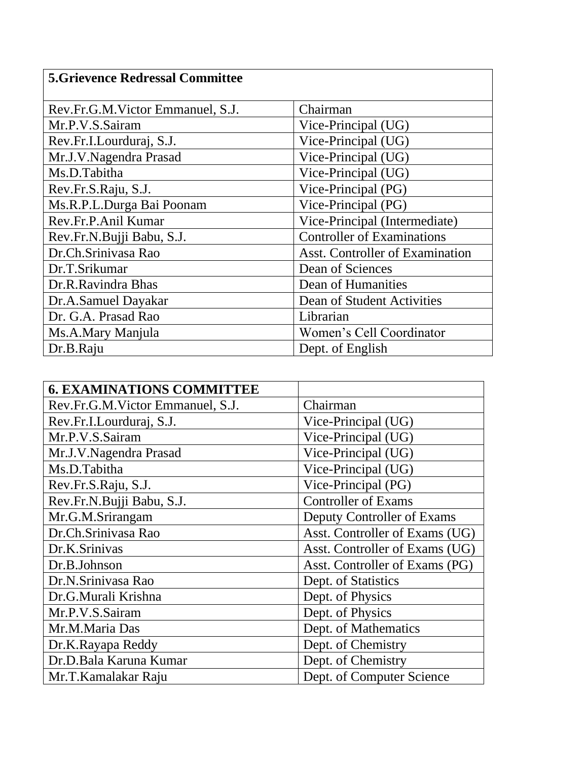| <b>5. Grievence Redressal Committee</b> |                                        |  |
|-----------------------------------------|----------------------------------------|--|
| Rev.Fr.G.M.Victor Emmanuel, S.J.        | Chairman                               |  |
| Mr.P.V.S.Sairam                         | Vice-Principal (UG)                    |  |
| Rev.Fr.I.Lourduraj, S.J.                | Vice-Principal (UG)                    |  |
| Mr.J.V.Nagendra Prasad                  | Vice-Principal (UG)                    |  |
| Ms.D.Tabitha                            | Vice-Principal (UG)                    |  |
| Rev.Fr.S.Raju, S.J.                     | Vice-Principal (PG)                    |  |
| Ms.R.P.L.Durga Bai Poonam               | Vice-Principal (PG)                    |  |
| Rev.Fr.P.Anil Kumar                     | Vice-Principal (Intermediate)          |  |
| Rev.Fr.N.Bujji Babu, S.J.               | <b>Controller of Examinations</b>      |  |
| Dr.Ch.Srinivasa Rao                     | <b>Asst. Controller of Examination</b> |  |
| Dr.T.Srikumar                           | Dean of Sciences                       |  |
| Dr.R.Ravindra Bhas                      | Dean of Humanities                     |  |
| Dr.A.Samuel Dayakar                     | Dean of Student Activities             |  |
| Dr. G.A. Prasad Rao                     | Librarian                              |  |
| Ms.A.Mary Manjula                       | Women's Cell Coordinator               |  |
| Dr.B.Raju                               | Dept. of English                       |  |

| <b>6. EXAMINATIONS COMMITTEE</b> |                                |
|----------------------------------|--------------------------------|
| Rev.Fr.G.M.Victor Emmanuel, S.J. | Chairman                       |
| Rev.Fr.I.Lourduraj, S.J.         | Vice-Principal (UG)            |
| Mr.P.V.S.Sairam                  | Vice-Principal (UG)            |
| Mr.J.V.Nagendra Prasad           | Vice-Principal (UG)            |
| Ms.D.Tabitha                     | Vice-Principal (UG)            |
| Rev.Fr.S.Raju, S.J.              | Vice-Principal (PG)            |
| Rev.Fr.N.Bujji Babu, S.J.        | <b>Controller of Exams</b>     |
| Mr.G.M.Srirangam                 | Deputy Controller of Exams     |
| Dr.Ch.Srinivasa Rao              | Asst. Controller of Exams (UG) |
| Dr.K.Srinivas                    | Asst. Controller of Exams (UG) |
| Dr.B.Johnson                     | Asst. Controller of Exams (PG) |
| Dr.N.Srinivasa Rao               | Dept. of Statistics            |
| Dr.G.Murali Krishna              | Dept. of Physics               |
| Mr.P.V.S.Sairam                  | Dept. of Physics               |
| Mr.M.Maria Das                   | Dept. of Mathematics           |
| Dr.K.Rayapa Reddy                | Dept. of Chemistry             |
| Dr.D.Bala Karuna Kumar           | Dept. of Chemistry             |
| Mr.T.Kamalakar Raju              | Dept. of Computer Science      |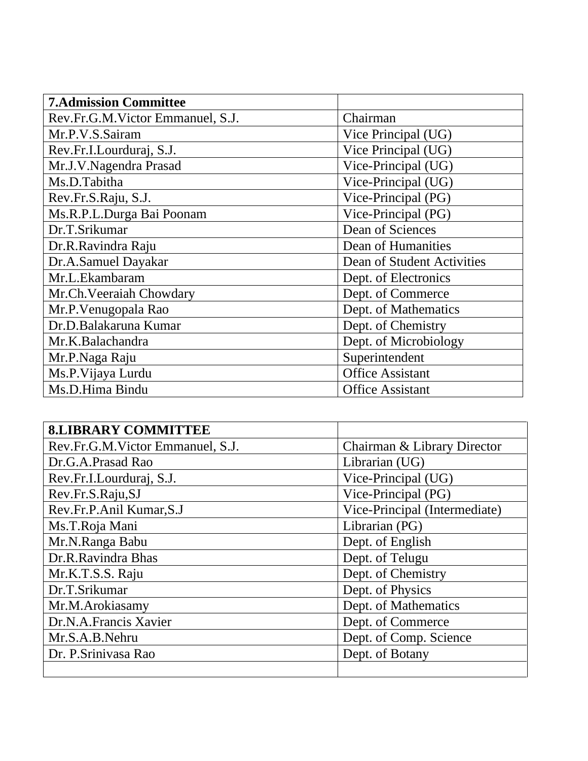| <b>7.Admission Committee</b>     |                            |
|----------------------------------|----------------------------|
| Rev.Fr.G.M.Victor Emmanuel, S.J. | Chairman                   |
| Mr.P.V.S.Sairam                  | Vice Principal (UG)        |
| Rev.Fr.I.Lourduraj, S.J.         | Vice Principal (UG)        |
| Mr.J.V.Nagendra Prasad           | Vice-Principal (UG)        |
| Ms.D.Tabitha                     | Vice-Principal (UG)        |
| Rev.Fr.S.Raju, S.J.              | Vice-Principal (PG)        |
| Ms.R.P.L.Durga Bai Poonam        | Vice-Principal (PG)        |
| Dr.T.Srikumar                    | Dean of Sciences           |
| Dr.R.Ravindra Raju               | Dean of Humanities         |
| Dr.A.Samuel Dayakar              | Dean of Student Activities |
| Mr.L.Ekambaram                   | Dept. of Electronics       |
| Mr.Ch.Veeraiah Chowdary          | Dept. of Commerce          |
| Mr.P. Venugopala Rao             | Dept. of Mathematics       |
| Dr.D.Balakaruna Kumar            | Dept. of Chemistry         |
| Mr.K.Balachandra                 | Dept. of Microbiology      |
| Mr.P.Naga Raju                   | Superintendent             |
| Ms.P. Vijaya Lurdu               | <b>Office Assistant</b>    |
| Ms.D.Hima Bindu                  | <b>Office Assistant</b>    |

| <b>8.LIBRARY COMMITTEE</b>       |                               |
|----------------------------------|-------------------------------|
| Rev.Fr.G.M.Victor Emmanuel, S.J. | Chairman & Library Director   |
| Dr.G.A.Prasad Rao                | Librarian (UG)                |
| Rev.Fr.I.Lourduraj, S.J.         | Vice-Principal (UG)           |
| Rev.Fr.S.Raju,SJ                 | Vice-Principal (PG)           |
| Rev.Fr.P.Anil Kumar,S.J          | Vice-Principal (Intermediate) |
| Ms.T.Roja Mani                   | Librarian (PG)                |
| Mr.N.Ranga Babu                  | Dept. of English              |
| Dr.R.Ravindra Bhas               | Dept. of Telugu               |
| Mr.K.T.S.S. Raju                 | Dept. of Chemistry            |
| Dr.T.Srikumar                    | Dept. of Physics              |
| Mr.M.Arokiasamy                  | Dept. of Mathematics          |
| Dr.N.A.Francis Xavier            | Dept. of Commerce             |
| Mr.S.A.B.Nehru                   | Dept. of Comp. Science        |
| Dr. P. Srinivasa Rao             | Dept. of Botany               |
|                                  |                               |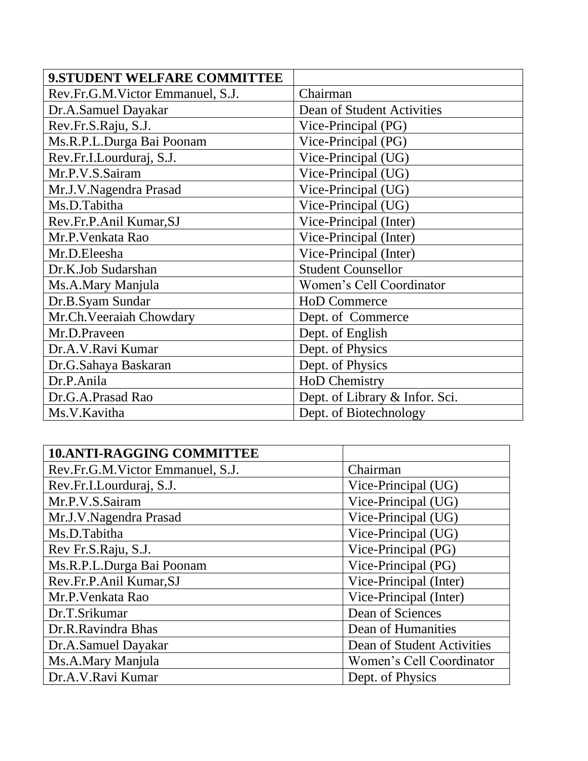| 9.STUDENT WELFARE COMMITTEE      |                                |
|----------------------------------|--------------------------------|
| Rev.Fr.G.M.Victor Emmanuel, S.J. | Chairman                       |
| Dr.A.Samuel Dayakar              | Dean of Student Activities     |
| Rev.Fr.S.Raju, S.J.              | Vice-Principal (PG)            |
| Ms.R.P.L.Durga Bai Poonam        | Vice-Principal (PG)            |
| Rev.Fr.I.Lourduraj, S.J.         | Vice-Principal (UG)            |
| Mr.P.V.S.Sairam                  | Vice-Principal (UG)            |
| Mr.J.V.Nagendra Prasad           | Vice-Principal (UG)            |
| Ms.D.Tabitha                     | Vice-Principal (UG)            |
| Rev.Fr.P.Anil Kumar, SJ          | Vice-Principal (Inter)         |
| Mr.P. Venkata Rao                | Vice-Principal (Inter)         |
| Mr.D.Eleesha                     | Vice-Principal (Inter)         |
| Dr.K.Job Sudarshan               | <b>Student Counsellor</b>      |
| Ms.A.Mary Manjula                | Women's Cell Coordinator       |
| Dr.B.Syam Sundar                 | <b>HoD Commerce</b>            |
| Mr.Ch.Veeraiah Chowdary          | Dept. of Commerce              |
| Mr.D.Praveen                     | Dept. of English               |
| Dr.A.V.Ravi Kumar                | Dept. of Physics               |
| Dr.G.Sahaya Baskaran             | Dept. of Physics               |
| Dr.P.Anila                       | <b>HoD Chemistry</b>           |
| Dr.G.A.Prasad Rao                | Dept. of Library & Infor. Sci. |
| Ms.V.Kavitha                     | Dept. of Biotechnology         |

| <b>10.ANTI-RAGGING COMMITTEE</b> |                            |
|----------------------------------|----------------------------|
| Rev.Fr.G.M.Victor Emmanuel, S.J. | Chairman                   |
| Rev.Fr.I.Lourduraj, S.J.         | Vice-Principal (UG)        |
| Mr.P.V.S.Sairam                  | Vice-Principal (UG)        |
| Mr.J.V.Nagendra Prasad           | Vice-Principal (UG)        |
| Ms.D.Tabitha                     | Vice-Principal (UG)        |
| Rev Fr.S.Raju, S.J.              | Vice-Principal (PG)        |
| Ms.R.P.L.Durga Bai Poonam        | Vice-Principal (PG)        |
| Rev.Fr.P.Anil Kumar,SJ           | Vice-Principal (Inter)     |
| Mr.P. Venkata Rao                | Vice-Principal (Inter)     |
| Dr.T.Srikumar                    | Dean of Sciences           |
| Dr.R.Ravindra Bhas               | Dean of Humanities         |
| Dr.A.Samuel Dayakar              | Dean of Student Activities |
| Ms.A.Mary Manjula                | Women's Cell Coordinator   |
| Dr.A.V.Ravi Kumar                | Dept. of Physics           |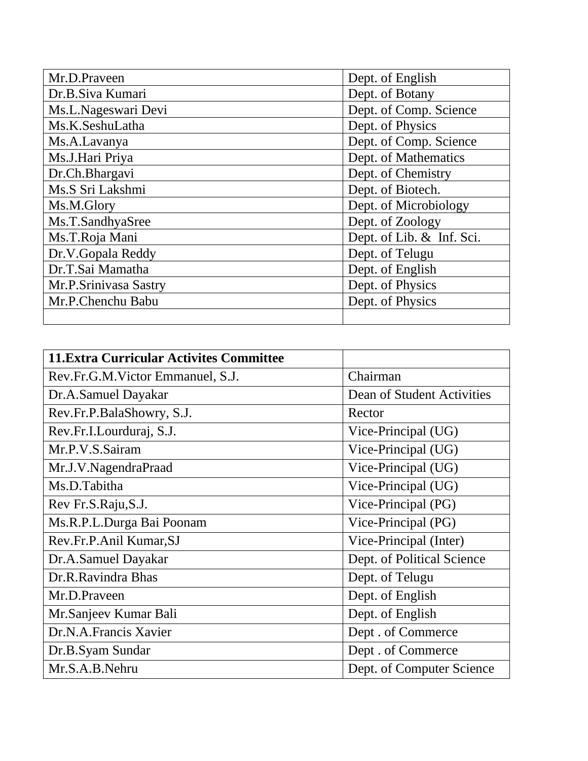| Mr.D.Praveen          | Dept. of English          |
|-----------------------|---------------------------|
| Dr.B.Siva Kumari      | Dept. of Botany           |
| Ms.L.Nageswari Devi   | Dept. of Comp. Science    |
| Ms.K.SeshuLatha       | Dept. of Physics          |
| Ms.A.Lavanya          | Dept. of Comp. Science    |
| Ms.J.Hari Priya       | Dept. of Mathematics      |
| Dr.Ch.Bhargavi        | Dept. of Chemistry        |
| Ms.S Sri Lakshmi      | Dept. of Biotech.         |
| Ms.M.Glory            | Dept. of Microbiology     |
| Ms.T.SandhyaSree      | Dept. of Zoology          |
| Ms.T.Roja Mani        | Dept. of Lib. & Inf. Sci. |
| Dr.V.Gopala Reddy     | Dept. of Telugu           |
| Dr.T.Sai Mamatha      | Dept. of English          |
| Mr.P.Srinivasa Sastry | Dept. of Physics          |
| Mr.P.Chenchu Babu     | Dept. of Physics          |
|                       |                           |

| <b>11. Extra Curricular Activites Committee</b> |                            |
|-------------------------------------------------|----------------------------|
| Rev.Fr.G.M.Victor Emmanuel, S.J.                | Chairman                   |
| Dr.A.Samuel Dayakar                             | Dean of Student Activities |
| Rev.Fr.P.BalaShowry, S.J.                       | Rector                     |
| Rev.Fr.I.Lourduraj, S.J.                        | Vice-Principal (UG)        |
| Mr.P.V.S.Sairam                                 | Vice-Principal (UG)        |
| Mr.J.V.NagendraPraad                            | Vice-Principal (UG)        |
| Ms.D.Tabitha                                    | Vice-Principal (UG)        |
| Rev Fr.S.Raju, S.J.                             | Vice-Principal (PG)        |
| Ms.R.P.L.Durga Bai Poonam                       | Vice-Principal (PG)        |
| Rev.Fr.P.Anil Kumar,SJ                          | Vice-Principal (Inter)     |
| Dr.A.Samuel Dayakar                             | Dept. of Political Science |
| Dr.R.Ravindra Bhas                              | Dept. of Telugu            |
| Mr.D.Praveen                                    | Dept. of English           |
| Mr. Sanjeev Kumar Bali                          | Dept. of English           |
| Dr.N.A.Francis Xavier                           | Dept. of Commerce          |
| Dr.B.Syam Sundar                                | Dept. of Commerce          |
| Mr.S.A.B.Nehru                                  | Dept. of Computer Science  |